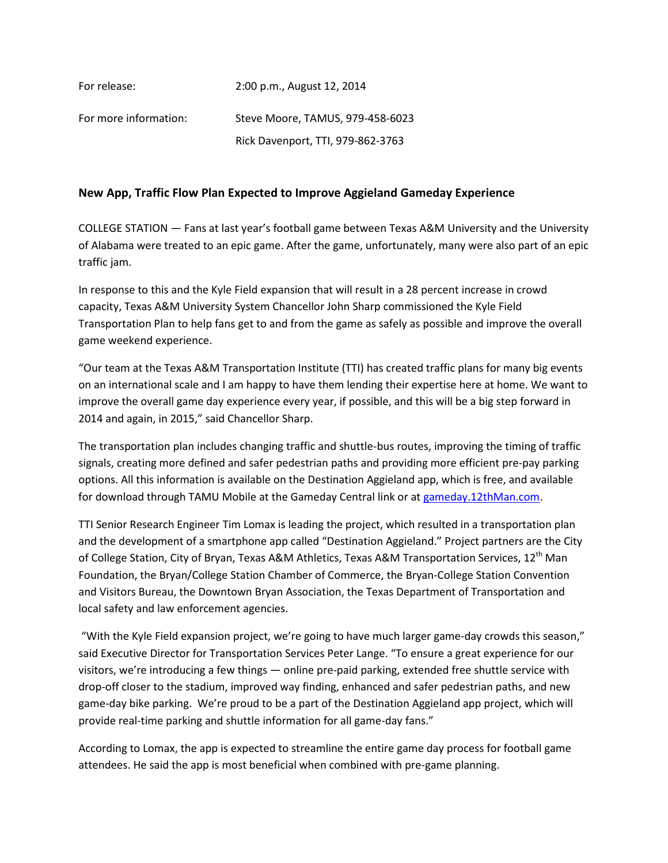For release: 2:00 p.m., August 12, 2014

For more information: Steve Moore, TAMUS, 979-458-6023 Rick Davenport, TTI, 979-862-3763

## **New App, Traffic Flow Plan Expected to Improve Aggieland Gameday Experience**

COLLEGE STATION — Fans at last year's football game between Texas A&M University and the University of Alabama were treated to an epic game. After the game, unfortunately, many were also part of an epic traffic jam.

In response to this and the Kyle Field expansion that will result in a 28 percent increase in crowd capacity, Texas A&M University System Chancellor John Sharp commissioned the Kyle Field Transportation Plan to help fans get to and from the game as safely as possible and improve the overall game weekend experience.

"Our team at the Texas A&M Transportation Institute (TTI) has created traffic plans for many big events on an international scale and I am happy to have them lending their expertise here at home. We want to improve the overall game day experience every year, if possible, and this will be a big step forward in 2014 and again, in 2015," said Chancellor Sharp.

The transportation plan includes changing traffic and shuttle-bus routes, improving the timing of traffic signals, creating more defined and safer pedestrian paths and providing more efficient pre-pay parking options. All this information is available on the Destination Aggieland app, which is free, and available for download through TAMU Mobile at the Gameday Central link or at [gameday.12thMan.com.](http://gameday.12thman.com/)

TTI Senior Research Engineer Tim Lomax is leading the project, which resulted in a transportation plan and the development of a smartphone app called "Destination Aggieland." Project partners are the City of College Station, City of Bryan, Texas A&M Athletics, Texas A&M Transportation Services, 12<sup>th</sup> Man Foundation, the Bryan/College Station Chamber of Commerce, the Bryan-College Station Convention and Visitors Bureau, the Downtown Bryan Association, the Texas Department of Transportation and local safety and law enforcement agencies.

"With the Kyle Field expansion project, we're going to have much larger game-day crowds this season," said Executive Director for Transportation Services Peter Lange. "To ensure a great experience for our visitors, we're introducing a few things — online pre-paid parking, extended free shuttle service with drop-off closer to the stadium, improved way finding, enhanced and safer pedestrian paths, and new game-day bike parking. We're proud to be a part of the Destination Aggieland app project, which will provide real-time parking and shuttle information for all game-day fans."

According to Lomax, the app is expected to streamline the entire game day process for football game attendees. He said the app is most beneficial when combined with pre-game planning.